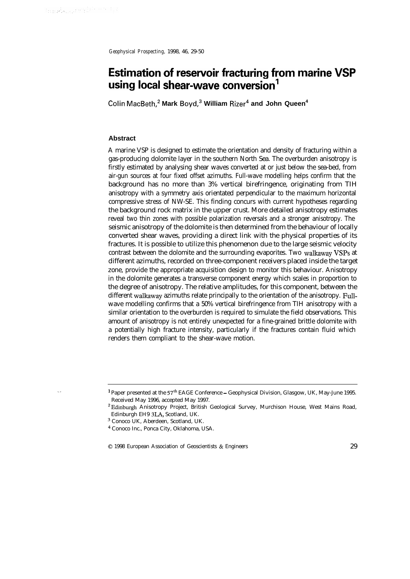. .

*Geophysical Prospecting,* 1998, 46, 29-50

# **Estimation of reservoir fracturing from marine VSP using local shear-wave conversion'**

**Cohn MacBeth,\* Mark Boyd,3 William Rizer4 and John Queen<sup>4</sup>**

# **Abstract**

A marine VSP is designed to estimate the orientation and density of fracturing within a gas-producing dolomite layer in the southern North Sea. The overburden anisotropy is firstly estimated by analysing shear waves converted at or just below the sea-bed, from air-gun sources at four fixed offset azimuths. Full-wave modelling helps confirm that the background has no more than 3% vertical birefringence, originating from TIH anisotropy with a symmetry axis orientated perpendicular to the maximum horizontal compressive stress of NW-SE. This finding concurs with current hypotheses regarding the background rock matrix in the upper crust. More detailed anisotropy estimates reveal two thin zones with possible polarization reversals and a stronger anisotropy. The seismic anisotropy of the dolomite is then determined from the behaviour of locally converted shear waves, providing a direct link with the physical properties of its fractures. It is possible to utilize this phenomenon due to the large seismic velocity contrast between the dolomite and the surrounding evaporites. Two walkaway VSPs at different azimuths, recorded on three-component receivers placed inside the target zone, provide the appropriate acquisition design to monitor this behaviour. Anisotropy in the dolomite generates a transverse component energy which scales in proportion to the degree of anisotropy. The relative amplitudes, for this component, between the different walkaway azimuths relate principally to the orientation of the anisotropy. Fullwave modelling confirms that a 50% vertical birefringence from TIH anisotropy with a similar orientation to the overburden is required to simulate the field observations. This amount of anisotropy is not entirely unexpected for a fine-grained brittle dolomite with a potentially high fracture intensity, particularly if the fractures contain fluid which renders them compliant to the shear-wave motion.

0 1998 European Association of Geoscientists & Engineers 29

<sup>&</sup>lt;sup>1</sup> Paper presented at the 57<sup>th</sup> EAGE Conference - Geophysical Division, Glasgow, UK, May-June 1995. Received May 1996, accepted May 1997.

<sup>2</sup>Edinburgh Anisotropy Project, British Geological Survey, Murchison House, West Mains Road, Edinburgh EH9 3LA, Scotland, UK.

<sup>3</sup> Conoco UK, Aberdeen, Scotland, UK.

<sup>4</sup> Conoco Inc., Ponca City, Oklahoma, USA.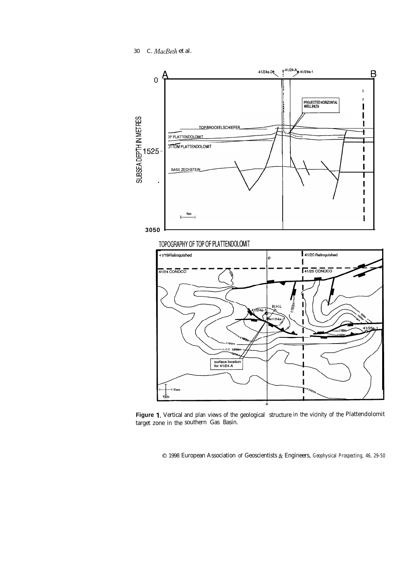*30 C. MacBeth* et al.



Figure 1. Vertical and plan views of the geological structure in the vicinity of the Plattendolomit target zone in the southern Gas Basin.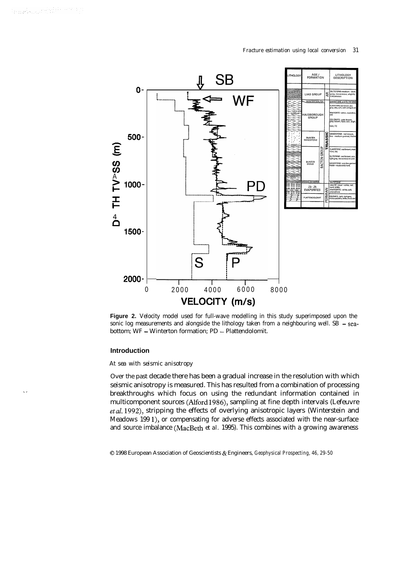.,

### *Fracture estimation using local conversion* 31



**Figure 2.** Velocity model used for full-wave modelling in this study superimposed upon the sonic log measurements and alongside the lithology taken from a neighbouring well. SB  $-$  seabottom; WF - Winterton formation; PD - Plattendolomit.

# **Introduction**

# *At sea with seismic anisotropy*

Over the past decade there has been a gradual increase in the resolution with which seismic anisotropy is measured. This has resulted from a combination of processing breakthroughs which focus on using the redundant information contained in multicomponent sources (Alford 1986), sampling at fine depth intervals (Lefeuvre *etal.* 1992), stripping the effects of overlying anisotropic layers (Winterstein and Meadows 199 l), or compensating for adverse effects associated with the near-surface and source imbalance (MacBeth *et al.* 1995). This combines with a growing awareness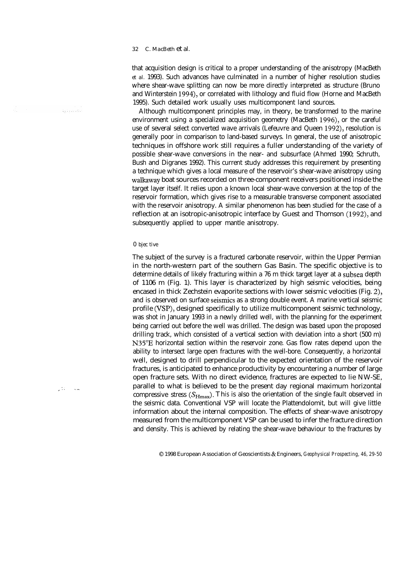that acquisition design is critical to a proper understanding of the anisotropy (MacBeth *et al.* 1993). Such advances have culminated in a number of higher resolution studies where shear-wave splitting can now be more directly interpreted as structure (Bruno and Winterstein 1994), or correlated with lithology and fluid flow (Horne and MacBeth 1995). Such detailed work usually uses multicomponent land sources.

Although multicomponent principles may, in theory, be transformed to the marine environment using a specialized acquisition geometry (MacBeth 1996), or the careful use of several select converted wave arrivals (Lefeuvre and Queen 1992), resolution is generally poor in comparison to land-based surveys. In general, the use of anisotropic techniques in offshore work still requires a fuller understanding of the variety of possible shear-wave conversions in the near- and subsurface (Ahmed 1990; Schruth, Bush and Digranes 1992). This current study addresses this requirement by presenting a technique which gives a local measure of the reservoir's shear-wave anisotropy using walkaway boat sources recorded on three-component receivers positioned inside the target layer itself. It relies upon a known local shear-wave conversion at the top of the reservoir formation, which gives rise to a measurable transverse component associated with the reservoir anisotropy. A similar phenomenon has been studied for the case of a reflection at an isotropic-anisotropic interface by Guest and Thomson (1992), and subsequently applied to upper mantle anisotropy.

#### *0 bjec tive*

The subject of the survey is a fractured carbonate reservoir, within the Upper Permian in the north-western part of the southern Gas Basin. The specific objective is to determine details of likely fracturing within a 76 m thick target layer at a subsea depth of 1106 m (Fig. 1). This layer is characterized by high seismic velocities, being encased in thick Zechstein evaporite sections with lower seismic velocities (Fig. 2), and is observed on surface seismics as a strong double event. A marine vertical seismic profile (VSP), designed specifically to utilize multicomponent seismic technology, was shot in January 1993 in a newly drilled well, with the planning for the experiment being carried out before the well was drilled. The design was based upon the proposed drilling track, which consisted of a vertical section with deviation into a short (500 m) N35"E horizontal section within the reservoir zone. Gas flow rates depend upon the ability to intersect large open fractures with the well-bore. Consequently, a horizontal well, designed to drill perpendicular to the expected orientation of the reservoir fractures, is anticipated to enhance productivity by encountering a number of large open fracture sets. With no direct evidence, fractures are expected to lie NW-SE, parallel to what is believed to be the present day regional maximum horizontal compressive stress  $(S_{Hmax})$ . This is also the orientation of the single fault observed in the seismic data. Conventional VSP will locate the Plattendolomit, but will give little information about the internal composition. The effects of shear-wave anisotropy measured from the multicomponent VSP can be used to infer the fracture direction and density. This is achieved by relating the shear-wave behaviour to the fractures by

0 1998 European Association of Geoscientists & Engineers, *Geophysical Prospecting, 46, 29-50*

. :. .\_ -

iliano.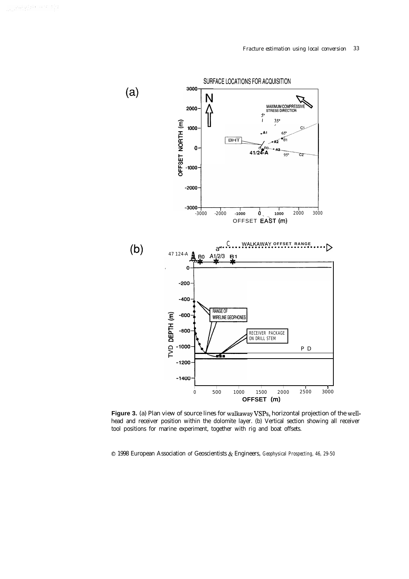### *Fracture estimation using local conversion 33*



Figure 3. (a) Plan view of source lines for walkaway VSPs, horizontal projection of the wellhead and receiver position within the dolomite layer. (b) Vertical section showing all receiver tool positions for marine experiment, together with rig and boat offsets.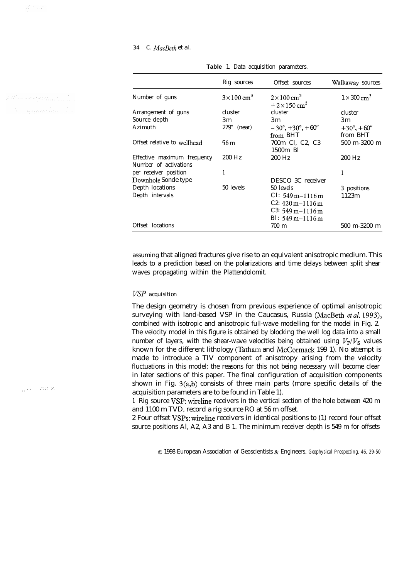y diametry equipped ils an an Dùbhlachd ann an 1961.<br>Na h-Ann an Dùbhailtean an 1961

# *34 C. MacBeth* et al.

|                                                      | Rig sources                 | Offset sources                                               | Walkaway sources               |
|------------------------------------------------------|-----------------------------|--------------------------------------------------------------|--------------------------------|
|                                                      |                             |                                                              |                                |
| Number of guns                                       | $3 \times 100 \text{ cm}^3$ | $2 \times 100 \text{ cm}^3$<br>$+2\times150$ cm <sup>3</sup> | $1 \times 300$ cm <sup>3</sup> |
| Arrangement of guns                                  | cluster                     | cluster                                                      | cluster                        |
| Source depth                                         | 3m                          | 3m                                                           | 3m                             |
| Azimuth                                              | 279" (near)                 | $-30^{\circ}$ , + 30°, + 60"                                 | $+30^{\circ}$ , + 60"          |
|                                                      |                             | from BHT                                                     | from BHT                       |
| Offset relative to wellhead                          | 56 m                        | 700m Cl, C2, C3<br>1500m Bl                                  | 500 m-3200 m                   |
| Effective maximum frequency<br>Number of activations | 200 Hz                      | 200 Hz                                                       | $200$ Hz                       |
| per receiver position                                |                             |                                                              | 1                              |
| Downhole Sonde type                                  |                             | DESCO 3C receiver                                            |                                |
| Depth locations                                      | 50 levels                   | 50 levels                                                    | 3 positions                    |
| Depth intervals                                      |                             | $Cl: 549 \,\mathrm{m} - 1116 \,\mathrm{m}$                   | 1123m                          |
|                                                      |                             | $C2: 420 m - 1116 m$                                         |                                |
|                                                      |                             | $C3: 549 \,\mathrm{m} - 1116 \,\mathrm{m}$                   |                                |
|                                                      |                             | Bl: $549 \text{ m} - 1116 \text{ m}$                         |                                |
| Offset locations                                     |                             | 700 m                                                        | $500$ m- $3200$ m              |

**Table** 1. Data acquisition parameters.

assuming that aligned fractures give rise to an equivalent anisotropic medium. This leads to a prediction based on the polarizations and time delays between split shear waves propagating within the Plattendolomit.

# *VSP acquisition*

The design geometry is chosen from previous experience of optimal anisotropic surveying with land-based VSP in the Caucasus, Russia (MacBeth *etal.* 1993), combined with isotropic and anisotropic full-wave modelling for the model in Fig. 2. The velocity model in this figure is obtained by blocking the well log data into a small number of layers, with the shear-wave velocities being obtained using  $V_P/V_S$  values known for the different lithology (Tatham and McCormack 199 1). No attempt is made to introduce a TIV component of anisotropy arising from the velocity fluctuations in this model; the reasons for this not being necessary will become clear in later sections of this paper. The final configuration of acquisition components shown in Fig. 3(a,b) consists of three main parts (more specific details of the acquisition parameters are to be found in Table 1).

1 Rig source VSP: wireline receivers in the vertical section of the hole between 420 m and 1100 m TVD, record a rig source RO at 56 m offset.

2 Four offset VSPs: wireline receivers in identical positions to (1) record four offset source positions Al, A2, A3 and B 1. The minimum receiver depth is 549 m for offsets

0 1998 European Association of Geoscientists & Engineers, *Geophysical Prospecting, 46, 29-50*

\_\_ .. .\*.: .: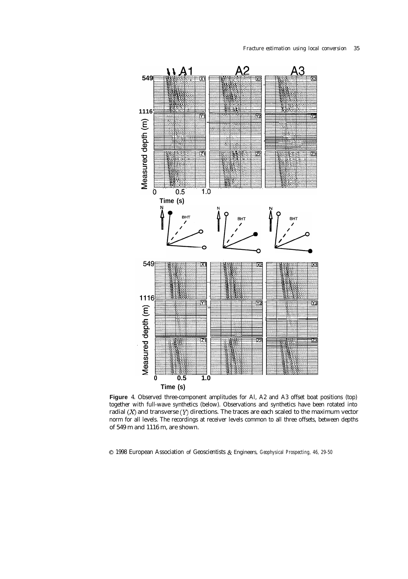

**Figure** 4. Observed three-component amplitudes for Al, A2 and A3 offset boat positions (top) together with full-wave synthetics (below). Observations and synthetics have been rotated into radial  $(X)$  and transverse  $(Y)$  directions. The traces are each scaled to the maximum vector norm for all levels. The recordings at receiver levels common to all three offsets, between depths of 549 m and 1116 m, are shown.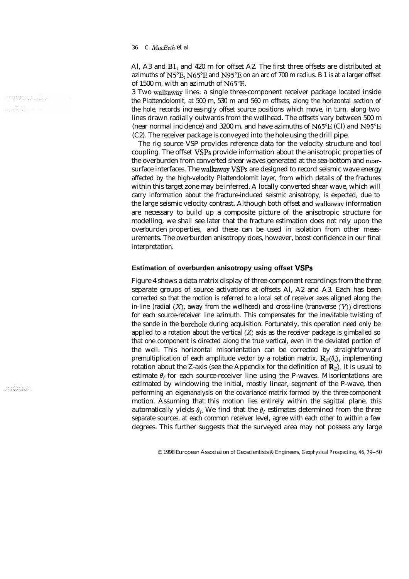Al, A3 and Bl, and 420 m for offset A2. The first three offsets are distributed at azimuths of N5"E, N65"E and N95"E on an arc of 700 m radius. B 1 is at a larger offset of 1500 m, with an azimuth of N65"E.

3 Two walkaway lines: a single three-component receiver package located inside the Plattendolomit, at 500 m, 530 m and 560 m offsets, along the horizontal section of the hole, records increasingly offset source positions which move, in turn, along two lines drawn radially outwards from the wellhead. The offsets vary between 500 m (near normal incidence) and 3200 m, and have azimuths of N65"E (Cl) and N95"E (C2). The receiver package is conveyed into the hole using the drill pipe.

The rig source VSP provides reference data for the velocity structure and tool coupling. The offset VSPs provide information about the anisotropic properties of the overburden from converted shear waves generated at the sea-bottom and nearsurface interfaces. The walkaway VSPs are designed to record seismic wave energy affected by the high-velocity Plattendolomit layer, from which details of the fractures within this target zone may be inferred. A locally converted shear wave, which will carry information about the fracture-induced seismic anisotropy, is expected, due to the large seismic velocity contrast. Although both offset and walkaway information are necessary to build up a composite picture of the anisotropic structure for modelling, we shall see later that the fracture estimation does not rely upon the overburden properties, and these can be used in isolation from other measurements. The overburden anisotropy does, however, boost confidence in our final interpretation.

# **Estimation of overburden anisotropy using offset VSPs**

Figure 4 shows a data matrix display of three-component recordings from the three separate groups of source activations at offsets Al, A2 and A3. Each has been corrected so that the motion is referred to a local set of receiver axes aligned along the in-line (radial  $(X)$ , away from the wellhead) and cross-line (transverse  $(Y)$ ) directions for each source-receiver line azimuth. This compensates for the inevitable twisting of the sonde in the borehole during acquisition. Fortunately, this operation need only be applied to a rotation about the vertical  $(Z)$  axis as the receiver package is gimballed so that one component is directed along the true vertical, even in the deviated portion of the well. This horizontal misorientation can be corrected by straightforward premultiplication of each amplitude vector by a rotation matrix,  $\mathbf{R}_z(\theta_i)$ , implementing rotation about the Z-axis (see the Appendix for the definition of  $\mathbf{R}_{z}$ ). It is usual to estimate  $\theta_i$  for each source-receiver line using the P-waves. Misorientations are estimated by windowing the initial, mostly linear, segment of the P-wave, then performing an eigenanalysis on the covariance matrix formed by the three-component motion. Assuming that this motion lies entirely within the sagittal plane, this automatically yields  $\theta_i$ . We find that the  $\theta_i$  estimates determined from the three separate sources, at each common receiver level, agree with each other to within a few degrees. This further suggests that the surveyed area may not possess any large

0 1998 European Association of Geoscientists & Engineers, *Geophysical Prospecting, 46, 29-50*

terengin.... an an Albana.<br>An Cairtean

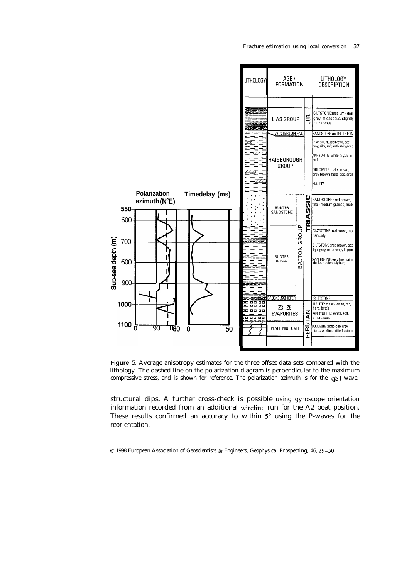*Fracture estimation using local conversion 37*



**Figure** 5. Average anisotropy estimates for the three offset data sets compared with the lithology. The dashed line on the polarization diagram is perpendicular to the maximum compressive stress, and is shown for reference. The polarization azimuth is for the qS1 wave.

structural dips. A further cross-check is possible using gyroscope orientation information recorded from an additional wireline run for the A2 boat position. These results confirmed an accuracy to within  $5^\circ$  using the P-waves for the reorientation.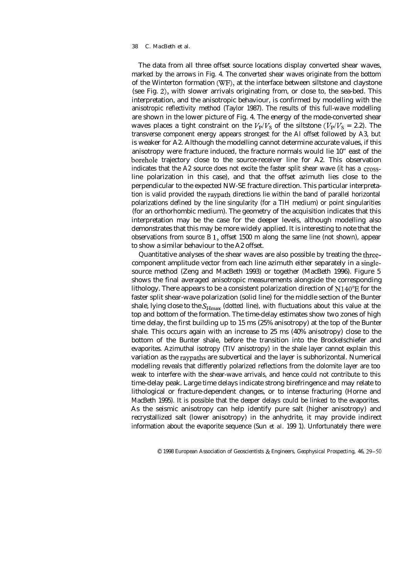The data from all three offset source locations display converted shear waves, marked by the arrows in Fig. 4. The converted shear waves originate from the bottom of the Winterton formation (WF), at the interface between siltstone and claystone (see Fig. 2), with slower arrivals originating from, or close to, the sea-bed. This interpretation, and the anisotropic behaviour, is confirmed by modelling with the anisotropic reflectivity method (Taylor 1987). The results of this full-wave modelling are shown in the lower picture of Fig. 4. The energy of the mode-converted shear waves places a tight constraint on the  $V_P/V_S$  of the siltstone ( $V_P/V_S = 2.2$ ). The transverse component energy appears strongest for the Al offset followed by A3, but is weaker for A2. Although the modelling cannot determine accurate values, if this anisotropy were fracture induced, the fracture normals would lie 10" east of the borehole trajectory close to the source-receiver line for A2. This observation indicates that the A2 source does not excite the faster split shear wave (it has a crossline polarization in this case), and that the offset azimuth lies close to the perpendicular to the expected NW-SE fracture direction. This particular interpretation is valid provided the raypath directions lie within the band of parallel horizontal polarizations defined by the line singularity (for a TIH medium) or point singularities (for an orthorhombic medium). The geometry of the acquisition indicates that this interpretation may be the case for the deeper levels, although modelling also demonstrates that this may be more widely applied. It is interesting to note that the observations from source B 1, offset 1500 m along the same line (not shown), appear to show a similar behaviour to the A2 offset.

Quantitative analyses of the shear waves are also possible by treating the threecomponent amplitude vector from each line azimuth either separately in a singlesource method (Zeng and MacBeth 1993) or together (MacBeth 1996). Figure 5 shows the final averaged anisotropic measurements alongside the corresponding lithology. There appears to be a consistent polarization direction of N140"E for the faster split shear-wave polarization (solid line) for the middle section of the Bunter shale, lying close to the  $S_{\text{Hmax}}$  (dotted line), with fluctuations about this value at the top and bottom of the formation. The time-delay estimates show two zones of high time delay, the first building up to 15 ms (25% anisotropy) at the top of the Bunter shale. This occurs again with an increase to 25 ms (40% anisotropy) close to the bottom of the Bunter shale, before the transition into the Brockelschiefer and evaporites. Azimuthal isotropy (TIV anisotropy) in the shale layer cannot explain this variation as the raypaths are subvertical and the layer is subhorizontal. Numerical modelling reveals that differently polarized reflections from the dolomite layer are too weak to interfere with the shear-wave arrivals, and hence could not contribute to this time-delay peak. Large time delays indicate strong birefringence and may relate to lithological or fracture-dependent changes, or to intense fracturing (Horne and MacBeth 1995). It is possible that the deeper delays could be linked to the evaporites. As the seismic anisotropy can help identify pure salt (higher anisotropy) and recrystallized salt (lower anisotropy) in the anhydrite, it may provide indirect information about the evaporite sequence (Sun *et al.* 199 1). Unfortunately there were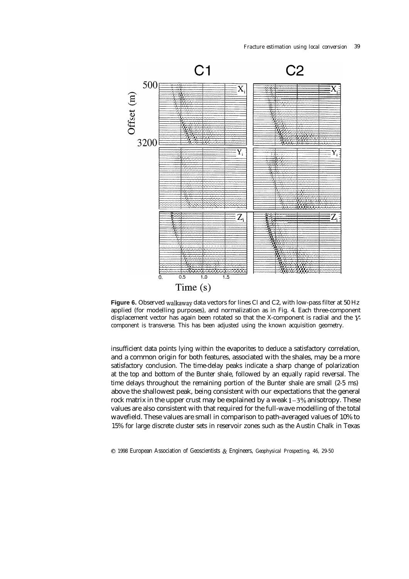*Fracture estimation using local conversion 39*



Figure 6. Observed walkaway data vectors for lines Cl and C2, with low-pass filter at 50 Hz applied (for modelling purposes), and normalization as in Fig. 4. Each three-component displacement vector has again been rotated so that the X-component is radial and the Ycomponent is transverse. This has been adjusted using the known acquisition geometry.

insufficient data points lying within the evaporites to deduce a satisfactory correlation, and a common origin for both features, associated with the shales, may be a more satisfactory conclusion. The time-delay peaks indicate a sharp change of polarization at the top and bottom of the Bunter shale, followed by an equally rapid reversal. The time delays throughout the remaining portion of the Bunter shale are small (2-5 ms) above the shallowest peak, being consistent with our expectations that the general rock matrix in the upper crust may be explained by a weak  $1-3\%$  anisotropy. These values are also consistent with that required for the full-wave modelling of the total wavefield. These values are small in comparison to path-averaged values of 10% to 15% for large discrete cluster sets in reservoir zones such as the Austin Chalk in Texas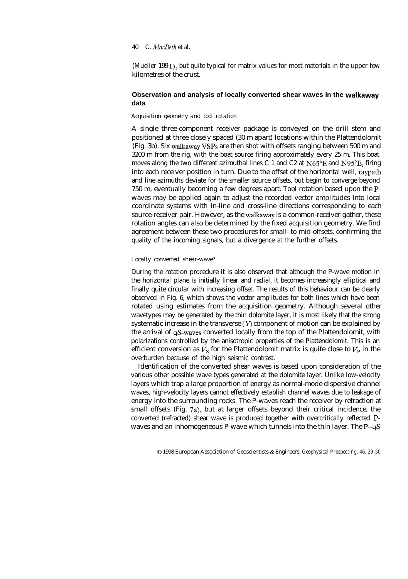(Mueller 199 l), but quite typical for matrix values for most materials in the upper few kilometres of the crust.

# **Observation and analysis of locally converted shear waves in the walkaway data**

# *Acquisition geometry and tool rotation*

A single three-component receiver package is conveyed on the drill stem and positioned at three closely spaced (30 m apart) locations within the Plattendolomit (Fig. 3b). Six walkaway VSPs are then shot with offsets ranging between 500 m and 3200 m from the rig, with the boat source firing approximately every 25 m. This boat moves along the two different azimuthal lines C 1 and C2 at N65"E and N95"E, firing into each receiver position in turn. Due to the offset of the horizontal well, raypath and line azimuths deviate for the smaller source offsets, but begin to converge beyond 750 m, eventually becoming a few degrees apart. Tool rotation based upon the Pwaves may be applied again to adjust the recorded vector amplitudes into local coordinate systems with in-line and cross-line directions corresponding to each source-receiver pair. However, as the walkaway is a common-receiver gather, these rotation angles can also be determined by the fixed acquisition geometry. We find agreement between these two procedures for small- to mid-offsets, confirming the quality of the incoming signals, but a divergence at the further offsets.

### *Locally converted shear-wave?*

During the rotation procedure it is also observed that although the P-wave motion in the horizontal plane is initially linear and radial, it becomes increasingly elliptical and finally quite circular with increasing offset. The results of this behaviour can be clearly observed in Fig. 6, which shows the vector amplitudes for both lines which have been rotated using estimates from the acquisition geometry. Although several other wavetypes may be generated by the thin dolomite layer, it is most likely that the strong systematic increase in the transverse  $(Y)$  component of motion can be explained by the arrival of qS-waves converted locally from the top of the Plattendolomit, with polarizations controlled by the anisotropic properties of the Plattendolomit. This is an efficient conversion as  $V_s$  for the Plattendolomit matrix is quite close to  $V_P$  in the overburden because of the high seismic contrast.

Identification of the converted shear waves is based upon consideration of the various other possible wave types generated at the dolomite layer. Unlike low-velocity layers which trap a large proportion of energy as normal-mode dispersive channel waves, high-velocity layers cannot effectively establish channel waves due to leakage of energy into the surrounding rocks. The P-waves reach the receiver by refraction at small offsets (Fig. 7a), but at larger offsets beyond their critical incidence, the converted (refracted) shear wave is produced together with overcritically reflected Pwaves and an inhomogeneous P-wave which tunnels into the thin layer. The P-qS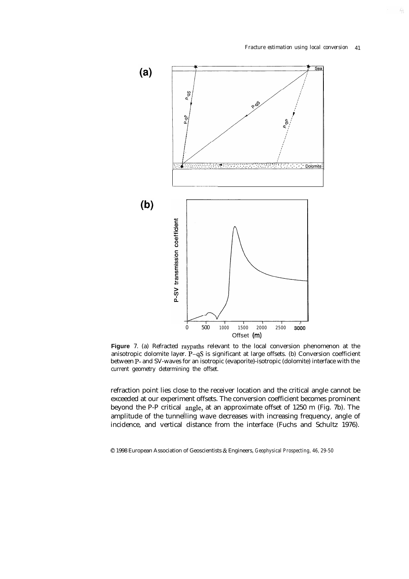85



**Figure** 7. (a) Refracted raypaths relevant to the local conversion phenomenon at the anisotropic dolomite layer. P-qS is significant at large offsets. (b) Conversion coefficient between P- and SV-waves for an isotropic (evaporite)-isotropic (dolomite) interface with the current geometry determining the offset.

refraction point lies close to the receiver location and the critical angle cannot be exceeded at our experiment offsets. The conversion coefficient becomes prominent beyond the P-P critical angle, at an approximate offset of 1250 m (Fig. 7b). The amplitude of the tunnelling wave decreases with increasing frequency, angle of incidence, and vertical distance from the interface (Fuchs and Schultz 1976).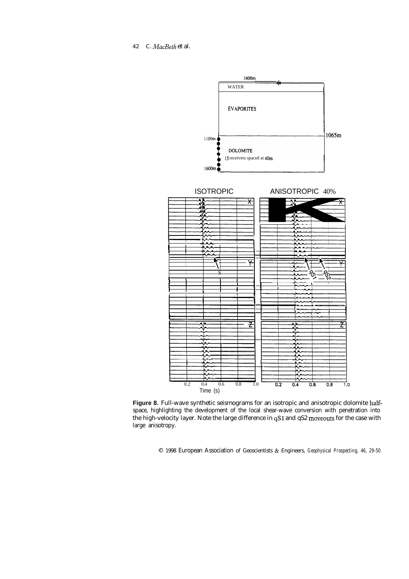*42 C. MacBeth* et al.



Figure 8. Full-wave synthetic seismograms for an isotropic and anisotropic dolomite halfspace, highlighting the development of the local shear-wave conversion with penetration into the high-velocity layer. Note the large difference in qS1 and qS2 moveouts for the case with large anisotropy.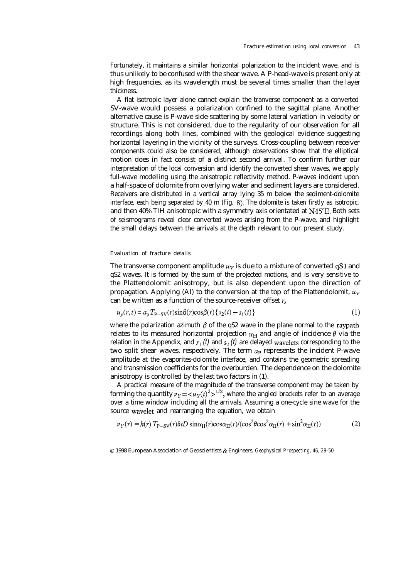Fortunately, it maintains a similar horizontal polarization to the incident wave, and is thus unlikely to be confused with the shear wave. A P-head-wave is present only at high frequencies, as its wavelength must be several times smaller than the layer thickness.

A flat isotropic layer alone cannot explain the tranverse component as a converted SV-wave would possess a polarization confined to the sagittal plane. Another alternative cause is P-wave side-scattering by some lateral variation in velocity or structure. This is not considered, due to the regularity of our observation for all recordings along both lines, combined with the geological evidence suggesting horizontal layering in the vicinity of the surveys. Cross-coupling between receiver components could also be considered, although observations show that the elliptical motion does in fact consist of a distinct second arrival. To confirm further our interpretation of the local conversion and identify the converted shear waves, we apply full-wave modelling using the anisotropic reflectivity method. P-waves incident upon a half-space of dolomite from overlying water and sediment layers are considered. Receivers are distributed in a vertical array lying 35 m below the sediment-dolomite interface, each being separated by 40 m (Fig. 8). The dolomite is taken firstly as isotropic, and then 40% TIH anisotropic with a symmetry axis orientated at N45"E. Both sets of seismograms reveal clear converted waves arising from the P-wave, and highlight the small delays between the arrivals at the depth relevant to our present study.

### *Evaluation of fracture details*

The transverse component amplitude  $u<sub>y</sub>$  is due to a mixture of converted qS1 and qS2 waves. It is formed by the sum of the projected motions, and is very sensitive to the Plattendolomit anisotropy, but is also dependent upon the direction of propagation. Applying (Al) to the conversion at the top of the Plattendolomit,  $u_Y$ can be written as a function of the source-receiver offset  $r$ ,

$$
u_{y}(r,t) = a_{p} T_{P-SV}(r) \sin\beta(r) \cos\beta(r) \{s_{2}(t) - s_{1}(t)\}\tag{1}
$$

where the polarization azimuth  $\beta$  of the qS2 wave in the plane normal to the raypath relates to its measured horizontal projection  $\alpha_H$  and angle of incidence  $\theta$  via the relation in the Appendix, and  $s_1$  (*t*) and  $s_2$  (*t*) are delayed wavelets corresponding to the two split shear waves, respectively. The term *up* represents the incident P-wave amplitude at the evaporites-dolomite interface, and contains the geometric spreading and transmission coefficients for the overburden. The dependence on the dolomite anisotropy is controlled by the last two factors in (1).

A practical measure of the magnitude of the transverse component may be taken by forming the quantity  $\nu_Y = \langle u_Y(t) \rangle^2 > 1/2$ , where the angled brackets refer to an average over a time window including all the arrivals. Assuming a one-cycle sine wave for the source wavelet and rearranging the equation, we obtain

$$
\nu_Y(r) = k(r) T_{P-SV}(r) \delta t D \sin \alpha_H(r) \cos \alpha_H(r) / (\cos^2 \theta \cos^2 \alpha_H(r) + \sin^2 \alpha_H(r))
$$
 (2)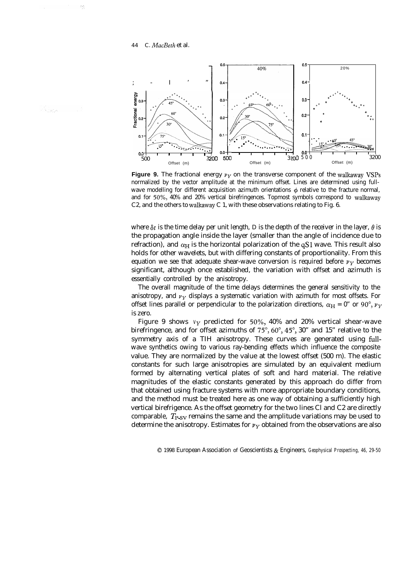

**Figure 9.** The fractional energy  $v_y$  on the transverse component of the walkaway VSPs normalized by the vector amplitude at the minimum offset. Lines are determined using fullwave modelling for different acquisition azimuth orientations  $\phi$  relative to the fracture normal, and for 50%, 40% and 20% vertical birefringences. Topmost symbols correspond to walkaway C2, and the others to walkaway C 1, with these observations relating to Fig. 6.

where  $\delta t$  is the time delay per unit length, *D* is the depth of the receiver in the layer,  $\theta$  is the propagation angle inside the layer (smaller than the angle of incidence due to refraction), and  $\alpha_H$  is the horizontal polarization of the qS1 wave. This result also holds for other wavelets, but with differing constants of proportionality. From this equation we see that adequate shear-wave conversion is required before  $\nu_Y$  becomes significant, although once established, the variation with offset and azimuth is essentially controlled by the anisotropy.

The overall magnitude of the time delays determines the general sensitivity to the anisotropy, and  $\nu_Y$  displays a systematic variation with azimuth for most offsets. For offset lines parallel or perpendicular to the polarization directions,  $\alpha_H = 0$ " or 90°,  $\nu_Y$ is zero.

Figure 9 shows  $v_Y$  predicted for 50%, 40% and 20% vertical shear-wave birefringence, and for offset azimuths of  $75^{\circ}$ ,  $60^{\circ}$ ,  $45^{\circ}$ ,  $30^{\circ}$  and  $15^{\circ}$  relative to the symmetry axis of a TIH anisotropy. These curves are generated using fullwave synthetics owing to various ray-bending effects which influence the composite value. They are normalized by the value at the lowest offset (500 m). The elastic constants for such large anisotropies are simulated by an equivalent medium formed by alternating vertical plates of soft and hard material. The relative magnitudes of the elastic constants generated by this approach do differ from that obtained using fracture systems with more appropriate boundary conditions, and the method must be treated here as one way of obtaining a sufficiently high vertical birefrigence. As the offset geometry for the two lines Cl and C2 are directly comparable,  $T_{\text{PSV}}$  remains the same and the amplitude variations may be used to determine the anisotropy. Estimates for  $\nu_Y$  obtained from the observations are also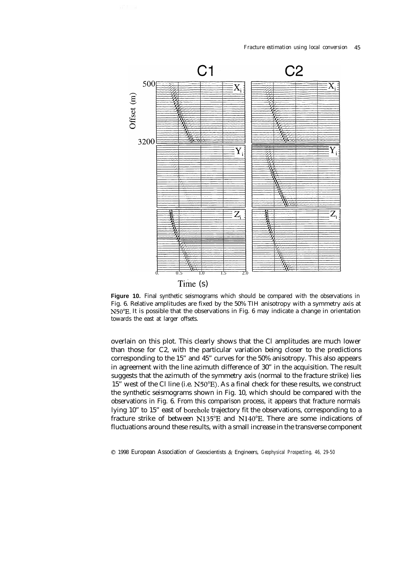

Time (s)

Figure 10. Final synthetic seismograms which should be compared with the observations in Fig. 6. Relative amplitudes are fixed by the 50% TIH anisotropy with a symmetry axis at N50"E. It is possible that the observations in Fig. 6 may indicate a change in orientation towards the east at larger offsets.

overlain on this plot. This clearly shows that the Cl amplitudes are much lower than those for C2, with the particular variation being closer to the predictions corresponding to the 15" and 45" curves for the 50% anisotropy. This also appears in agreement with the line azimuth difference of 30" in the acquisition. The result suggests that the azimuth of the symmetry axis (normal to the fracture strike) lies 15" west of the Cl line (i.e. N5O"E). As a final check for these results, we construct the synthetic seismograms shown in Fig. 10, which should be compared with the observations in Fig. 6. From this comparison process, it appears that fracture normals lying 10" to 15" east of borehole trajectory fit the observations, corresponding to a fracture strike of between N135"E and N14O"E. There are some indications of fluctuations around these results, with a small increase in the transverse component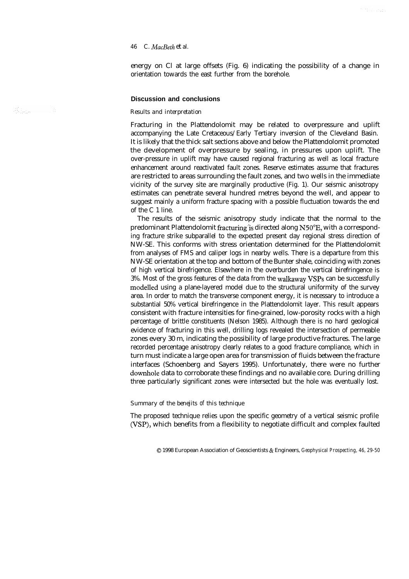energy on Cl at large offsets (Fig. 6) indicating the possibility of a change in orientation towards the east further from the borehole.

ma subdu

# **Discussion and conclusions**

### *Results and interpretation*

Fracturing in the Plattendolomit may be related to overpressure and uplift accompanying the Late Cretaceous/Early Tertiary inversion of the Cleveland Basin. It is likely that the thick salt sections above and below the Plattendolomit promoted the development of overpressure by sealing, in pressures upon uplift. The over-pressure in uplift may have caused regional fracturing as well as local fracture enhancement around reactivated fault zones. Reserve estimates assume that fractures are restricted to areas surrounding the fault zones, and two wells in the immediate vicinity of the survey site are marginally productive (Fig. 1). Our seismic anisotropy estimates can penetrate several hundred metres beyond the well, and appear to suggest mainly a uniform fracture spacing with a possible fluctuation towards the end of the C 1 line.

The results of the seismic anisotropy study indicate that the normal to the predominant Plattendolomit fracturing is directed along N50°E, with a corresponding fracture strike subparallel to the expected present day regional stress direction of NW-SE. This conforms with stress orientation determined for the Plattendolomit from analyses of FMS and caliper logs in nearby wells. There is a departure from this NW-SE orientation at the top and bottom of the Bunter shale, coinciding with zones of high vertical birefrigence. Elsewhere in the overburden the vertical birefringence is 3%. Most of the gross features of the data from the walkaway VSPs can be successfully modelled using a plane-layered model due to the structural uniformity of the survey area. In order to match the transverse component energy, it is necessary to introduce a substantial 50% vertical birefringence in the Plattendolomit layer. This result appears consistent with fracture intensities for fine-grained, low-porosity rocks with a high percentage of brittle constituents (Nelson 1985). Although there is no hard geological evidence of fracturing in this well, drilling logs revealed the intersection of permeable zones every 30 m, indicating the possibility of large productive fractures. The large recorded percentage anisotropy clearly relates to a good fracture compliance, which in turn must indicate a large open area for transmission of fluids between the fracture interfaces (Schoenberg and Sayers 1995). Unfortunately, there were no further downhole data to corroborate these findings and no available core. During drilling three particularly significant zones were intersected but the hole was eventually lost.

### *Summary of the benejits of this technique*

The proposed technique relies upon the specific geometry of a vertical seismic profile (VSP), which benefits from a flexibility to negotiate difficult and complex faulted

0 1998 European Association of Geoscientists & Engineers, *Geophysical Prospecting, 46, 29-50*

an<br>Sekara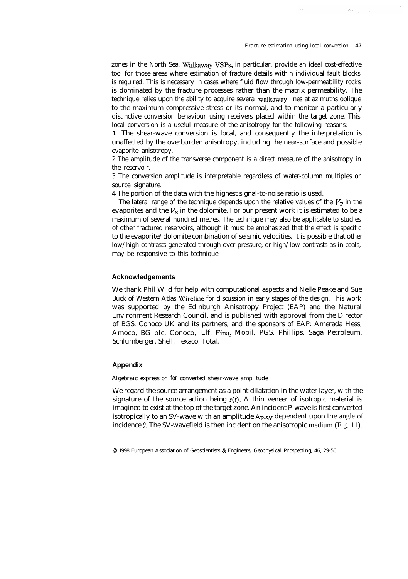à,

zones in the North Sea. Walkaway VSPs, in particular, provide an ideal cost-effective tool for those areas where estimation of fracture details within individual fault blocks is required. This is necessary in cases where fluid flow through low-permeability rocks is dominated by the fracture processes rather than the matrix permeability. The technique relies upon the ability to acquire several walkaway lines at azimuths oblique to the maximum compressive stress or its normal, and to monitor a particularly distinctive conversion behaviour using receivers placed within the target zone. This local conversion is a useful measure of the anisotropy for the following reasons:

**1** The shear-wave conversion is local, and consequently the interpretation is unaffected by the overburden anisotropy, including the near-surface and possible evaporite anisotropy.

2 The amplitude of the transverse component is a direct measure of the anisotropy in the reservoir.

3 The conversion amplitude is interpretable regardless of water-column multiples or source signature.

4 The portion of the data with the highest signal-to-noise ratio is used.

The lateral range of the technique depends upon the relative values of the  $V_{\rm P}$  in the evaporites and the  $V<sub>S</sub>$  in the dolomite. For our present work it is estimated to be a maximum of several hundred metres. The technique may also be applicable to studies of other fractured reservoirs, although it must be emphasized that the effect is specific to the evaporite/dolomite combination of seismic velocities. It is possible that other low/high contrasts generated through over-pressure, or high/low contrasts as in coals, may be responsive to this technique.

### **Acknowledgements**

We thank Phil Wild for help with computational aspects and Neile Peake and Sue Buck of Western Atlas Wireline for discussion in early stages of the design. This work was supported by the Edinburgh Anisotropy Project (EAP) and the Natural Environment Research Council, and is published with approval from the Director of BGS, Conoco UK and its partners, and the sponsors of EAP: Amerada Hess, Amoco, BG plc, Conoco, Elf, Fina, Mobil, PGS, Phillips, Saga Petroleum, Schlumberger, Shell, Texaco, Total.

### **Appendix**

### *Algebraic expression for converted shear-wave amplitude*

We regard the source arrangement as a point dilatation in the water layer, with the signature of the source action being  $s(t)$ . A thin veneer of isotropic material is imagined to exist at the top of the target zone. An incident P-wave is first converted isotropically to an SV-wave with an amplitude A<sub>P-SV</sub> dependent upon the angle of incidence  $\theta$ . The SV-wavefield is then incident on the anisotropic medium (Fig. 11).

<sup>0 1998</sup> European Association of Geoscientists & Engineers, *Geophysical Prospecting, 46, 29-50*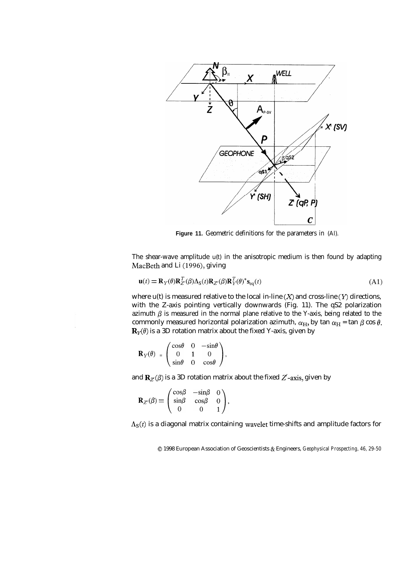

**Figure 11.** Geometric definitions for the parameters in (Al).

The shear-wave amplitude  $u(t)$  in the anisotropic medium is then found by adapting MacBeth and Li (1996), giving

$$
\mathbf{u}(t) = \mathbf{R}_{Y}(\theta)\mathbf{R}_{Z}^{T}(\beta)\Lambda_{S}(t)\mathbf{R}_{Z}(\beta)\mathbf{R}_{Y}^{T}(\theta)^{*}\mathbf{s}_{\text{eq}}(t)
$$
(A1)

where  $u(t)$  is measured relative to the local in-line  $(X)$  and cross-line  $(Y)$  directions, with the Z-axis pointing vertically downwards (Fig. 11). The qS2 polarization azimuth  $\beta$  is measured in the normal plane relative to the Y-axis, being related to the commonly measured horizontal polarization azimuth,  $\alpha_H$ , by tan  $\alpha_H$  = tan  $\beta$  cos  $\theta$ .  $\mathbf{R}_{Y}(\theta)$  is a 3D rotation matrix about the fixed Y-axis, given by

$$
\mathbf{R}_Y(\theta) = \begin{pmatrix} \cos\theta & 0 & -\sin\theta \\ 0 & 1 & 0 \\ \sin\theta & 0 & \cos\theta \end{pmatrix},
$$

and  $\mathbf{R}_{Z}(\beta)$  is a 3D rotation matrix about the fixed  $Z'$ -axis, given by

$$
\mathbf{R}_{Z'}(\beta) = \begin{pmatrix} \cos\beta & -\sin\beta & 0 \\ \sin\beta & \cos\beta & 0 \\ 0 & 0 & 1 \end{pmatrix},
$$

 $\Lambda_{\rm S}(t)$  is a diagonal matrix containing wavelet time-shifts and amplitude factors for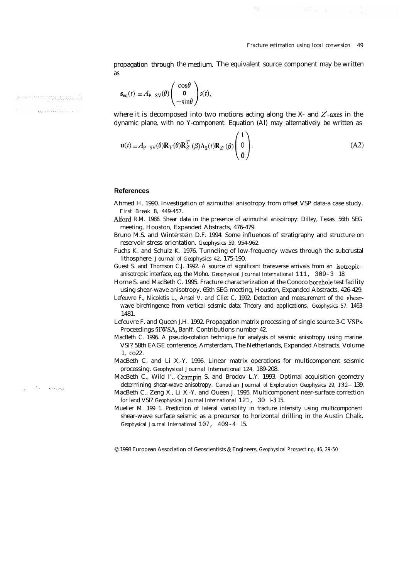propagation through the medium. The equivalent source component may be written as

 $\frac{\partial \mathcal{L}_{\mathcal{L}}}{\partial \mathcal{L}}$ 

$$
\mathbf{s}_{\text{eq}}(t) = A_{\text{P-SV}}(\theta) \begin{pmatrix} \cos \theta \\ \mathbf{0} \\ -\sin \theta \end{pmatrix} s(t),
$$

where it is decomposed into two motions acting along the X- and  $Z$ -axes in the dynamic plane, with no Y-component. Equation (Al) may alternatively be written as  $\lambda$ .

$$
\mathbf{u}(t) = A_{\mathbf{P}-\mathbf{S}\mathbf{V}}(\theta) \mathbf{R}_{Y}(\theta) \mathbf{R}_{Z}^{T}(\beta) \Lambda_{\mathbf{S}}(t) \mathbf{R}_{Z}(\beta) \begin{pmatrix} 1 \\ 0 \\ 0 \end{pmatrix}.
$$
 (A2)

### **References**

- Ahmed H. 1990. Investigation of azimuthal anisotropy from offset VSP data-a case study. *First Break 8, 449-457.*
- Alford R.M. 1986. Shear data in the presence of azimuthal anisotropy: Dilley, Texas. 56th SEG meeting, Houston, Expanded Abstracts, 476-479.
- Bruno M.S. and Winterstein D.F. 1994. Some influences of stratigraphy and structure on reservoir stress orientation. *Geophysics 59, 954-962.*
- Fuchs K. and Schulz K. 1976. Tunneling of low-frequency waves through the subcrustal lithosphere. *Journal of Geophysics 42,* 175-190.
- Guest S. and Thomson C.J. 1992. A source of significant transverse arrivals from an isotropicanisotropic interface, e.g. the Moho. *Geophysical Journal International* 111, 309-3 18.
- Horne S. and MacBeth C. 1995. Fracture characterization at the Conoco borehole test facility using shear-wave anisotropy. 65th SEG meeting, Houston, Expanded Abstracts, 426-429.
- Lefeuvre F., Nicoletis L., Ansel V. and Cliet C. 1992. Detection and measurement of the shearwave birefringence from vertical seismic data: Theory and applications. *Geophysics 57,* 1463- 1481.
- Lefeuvre F. and Queen J.H. 1992. Propagation matrix processing of single source 3-C VSPs. Proceedings 5IWSA, Banff. Contributions number 42.
- MacBeth C. 1996. A pseudo-rotation technique for analysis of seismic anisotropy using marine VSI? 58th EAGE conference, Amsterdam, The Netherlands, Expanded Abstracts, Volume 1, co22.
- MacBeth C. and Li X.-Y. 1996. Linear matrix operations for multicomponent seismic processing. *Geophysical Journal International 124,* 189-208.
- MacBeth C., Wild I'., Crampin S. and Brodov L.Y. 1993. Optimal acquisition geometry determining shear-wave anisotropy. *Canadian Journal of Exploration Geophysics 29,* 132- 139.
- MacBeth C., Zeng X., Li X.-Y. and Queen J. 1995. Multicomponent near-surface correction for land VSI? *Geophysical Journal International* 121, 30 l-3 15.
- Mueller M. 199 1. Prediction of lateral variability in fracture intensity using multicomponent shear-wave surface seismic as a precursor to horizontal drilling in the Austin Chalk. *Geophysical Journal International* 107, 409-4 15.

0 1998 European Association of Geoscientists & Engineers, *Geophysical Prospecting, 46, 29-50*

ja ovodnom prosincinu () الدانية وتعقدها ووقية

:. .\_\_.\_